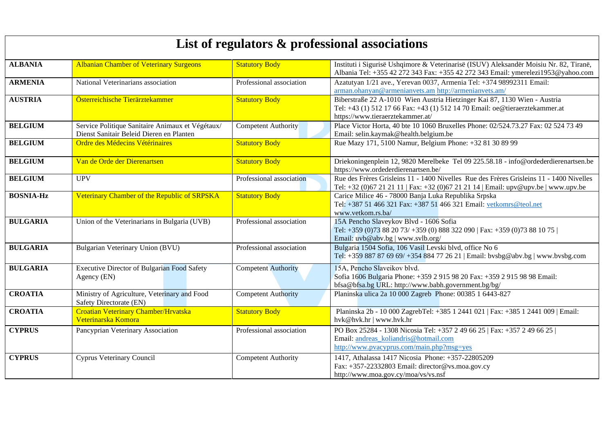| List of regulators & professional associations |                                                                                              |                            |                                                                                                                                                                                              |
|------------------------------------------------|----------------------------------------------------------------------------------------------|----------------------------|----------------------------------------------------------------------------------------------------------------------------------------------------------------------------------------------|
| <b>ALBANIA</b>                                 | <b>Albanian Chamber of Veterinary Surgeons</b>                                               | <b>Statutory Body</b>      | Instituti i Sigurisë Ushqimore & Veterinarisë (ISUV) Aleksandër Moisiu Nr. 82, Tiranë,<br>Albania Tel: +355 42 272 343 Fax: +355 42 272 343 Email: ymerelezi1953@yahoo.com                   |
| <b>ARMENIA</b>                                 | National Veterinarians association                                                           | Professional association   | Azatutyan 1/21 ave., Yerevan 0037, Armenia Tel: +374 98992311 Email:<br>arman.ohanyan@armenianvets.am http://armenianvets.am/                                                                |
| <b>AUSTRIA</b>                                 | Österreichische Tierärztekammer                                                              | <b>Statutory Body</b>      | Biberstraße 22 A-1010 Wien Austria Hietzinger Kai 87, 1130 Wien - Austria<br>Tel: +43 (1) 512 17 66 Fax: +43 (1) 512 14 70 Email: oe@tieraerztekammer.at<br>https://www.tieraerztekammer.at/ |
| <b>BELGIUM</b>                                 | Service Politique Sanitaire Animaux et Végétaux/<br>Dienst Sanitair Beleid Dieren en Planten | <b>Competent Authority</b> | Place Victor Horta, 40 bte 10 1060 Bruxelles Phone: 02/524.73.27 Fax: 02 524 73 49<br>Email: selin.kaymak@health.belgium.be                                                                  |
| <b>BELGIUM</b>                                 | Ordre des Médecins Vétérinaires                                                              | <b>Statutory Body</b>      | Rue Mazy 171, 5100 Namur, Belgium Phone: +32 81 30 89 99                                                                                                                                     |
| <b>BELGIUM</b>                                 | Van de Orde der Dierenartsen                                                                 | <b>Statutory Body</b>      | Driekoningenplein 12, 9820 Merelbeke Tel 09 225.58.18 - info@ordederdierenartsen.be<br>https://www.ordederdierenartsen.be/                                                                   |
| <b>BELGIUM</b>                                 | <b>UPV</b>                                                                                   | Professional association   | Rue des Frères Grisleins 11 - 1400 Nivelles Rue des Frères Grisleins 11 - 1400 Nivelles<br>Tel: +32 (0)67 21 21 11   Fax: +32 (0)67 21 21 14   Email: upv@upv.be   www.upv.be                |
| <b>BOSNIA-Hz</b>                               | Veterinary Chamber of the Republic of SRPSKA                                                 | <b>Statutory Body</b>      | Carice Milice 46 - 78000 Banja Luka Republika Srpska<br>Tel: +387 51 466 321 Fax: +387 51 466 321 Email: vetkomrs@teol.net<br>www.vetkom.rs.ba/                                              |
| <b>BULGARIA</b>                                | Union of the Veterinarians in Bulgaria (UVB)                                                 | Professional association   | 15A Pencho Slaveykov Blvd - 1606 Sofia<br>Tel: +359 (0)73 88 20 73/ +359 (0) 888 322 090   Fax: +359 (0)73 88 10 75  <br>Email: uvb@abv.bg   www.svlb.org/                                   |
| <b>BULGARIA</b>                                | Bulgarian Veterinary Union (BVU)                                                             | Professional association   | Bulgaria 1504 Sofia, 106 Vasil Levski blvd, office No 6<br>Tel: +359 887 87 69 69/ +354 884 77 26 21   Email: bvsbg@abv.bg   www.bvsbg.com                                                   |
| <b>BULGARIA</b>                                | <b>Executive Director of Bulgarian Food Safety</b><br>Agency (EN)                            | <b>Competent Authority</b> | 15A, Pencho Slaveikov blvd.<br>Sofia 1606 Bulgaria Phone: +359 2 915 98 20 Fax: +359 2 915 98 98 Email:<br>bfsa@bfsa.bg URL: http://www.babh.government.bg/bg/                               |
| <b>CROATIA</b>                                 | Ministry of Agriculture, Veterinary and Food<br>Safety Directorate (EN)                      | <b>Competent Authority</b> | Planinska ulica 2a 10 000 Zagreb Phone: 00385 1 6443-827                                                                                                                                     |
| <b>CROATIA</b>                                 | Croatian Veterinary Chamber/Hrvatska<br>Veterinarska Komora                                  | <b>Statutory Body</b>      | Planinska 2b - 10 000 ZagrebTel: +385 1 2441 021   Fax: +385 1 2441 009   Email:<br>hvk@hvk.hr   www.hvk.hr                                                                                  |
| <b>CYPRUS</b>                                  | Pancyprian Veterinary Association                                                            | Professional association   | PO Box 25284 - 1308 Nicosia Tel: +357 2 49 66 25   Fax: +357 2 49 66 25  <br>Email: andreas_koliandris@hotmail.com<br>http://www.pvacyprus.com/main.php?msg=yes                              |
| <b>CYPRUS</b>                                  | Cyprus Veterinary Council                                                                    | <b>Competent Authority</b> | 1417, Athalassa 1417 Nicosia Phone: +357-22805209<br>Fax: +357-22332803 Email: director@vs.moa.gov.cy<br>http://www.moa.gov.cy/moa/vs/vs.nsf                                                 |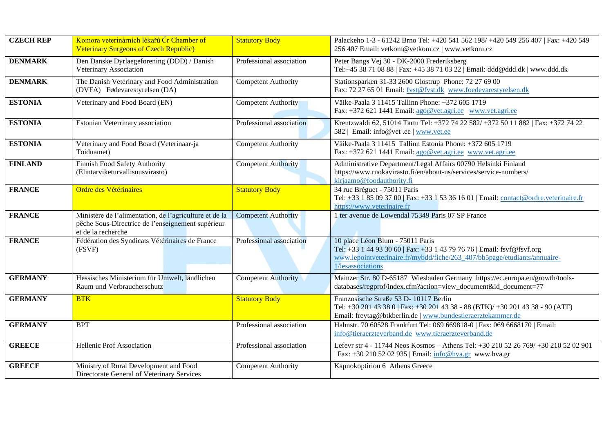| <b>CZECH REP</b> | Komora veterinárních lékařů Čr Chamber of<br><b>Veterinary Surgeons of Czech Republic)</b>                                        | <b>Statutory Body</b>      | Palackeho 1-3 - 61242 Brno Tel: +420 541 562 198/ +420 549 256 407   Fax: +420 549<br>256 407 Email: vetkom@vetkom.cz   www.vetkom.cz                                                                        |
|------------------|-----------------------------------------------------------------------------------------------------------------------------------|----------------------------|--------------------------------------------------------------------------------------------------------------------------------------------------------------------------------------------------------------|
| <b>DENMARK</b>   | Den Danske Dyrlaegeforening (DDD) / Danish<br>Veterinary Association                                                              | Professional association   | Peter Bangs Vej 30 - DK-2000 Frederiksberg<br>Tel:+45 38 71 08 88   Fax: +45 38 71 03 22   Email: ddd@ddd.dk   www.ddd.dk                                                                                    |
| <b>DENMARK</b>   | The Danish Veterinary and Food Administration<br>(DVFA) Fødevarestyrelsen (DA)                                                    | <b>Competent Authority</b> | Stationsparken 31-33 2600 Glostrup Phone: 72 27 69 00<br>Fax: 72 27 65 01 Email: fvst@fvst.dk www.foedevarestyrelsen.dk                                                                                      |
| <b>ESTONIA</b>   | Veterinary and Food Board (EN)                                                                                                    | <b>Competent Authority</b> | Väike-Paala 3 11415 Tallinn Phone: +372 605 1719<br>Fax: +372 621 1441 Email: ago@vet.agri.ee www.vet.agri.ee                                                                                                |
| <b>ESTONIA</b>   | Estonian Veterrinary association                                                                                                  | Professional association   | Kreutzwaldi 62, 51014 Tartu Tel: +372 74 22 582/ +372 50 11 882   Fax: +372 74 22<br>582   Email: info@vet .ee   www.vet.ee                                                                                  |
| <b>ESTONIA</b>   | Veterinary and Food Board (Veterinaar-ja<br>Toiduamet)                                                                            | <b>Competent Authority</b> | Väike-Paala 3 11415 Tallinn Estonia Phone: +372 605 1719<br>Fax: +372 621 1441 Email: ago@vet.agri.ee_www.vet.agri.ee                                                                                        |
| <b>FINLAND</b>   | Finnish Food Safety Authority<br>(Elintarviketurvallisuusvirasto)                                                                 | <b>Competent Authority</b> | Administrative Department/Legal Affairs 00790 Helsinki Finland<br>https://www.ruokavirasto.fi/en/about-us/services/service-numbers/<br>kirjaamo@foodauthority.fi                                             |
| <b>FRANCE</b>    | Ordre des Vétérinaires                                                                                                            | <b>Statutory Body</b>      | 34 rue Bréguet - 75011 Paris<br>Tel: +33 1 85 09 37 00   Fax: +33 1 53 36 16 01   Email: contact@ordre.veterinaire.fr<br>https://www.veterinaire.fr                                                          |
| <b>FRANCE</b>    | Ministère de l'alimentation, de l'agriculture et de la<br>pêche Sous-Directrice de l'enseignement supérieur<br>et de la recherche | <b>Competent Authority</b> | 1 ter avenue de Lowendal 75349 Paris 07 SP France                                                                                                                                                            |
| <b>FRANCE</b>    | Fédération des Syndicats Vétérinaires de France<br>(FSVF)                                                                         | Professional association   | 10 place Léon Blum - 75011 Paris<br>Tel: +33 1 44 93 30 60   Fax: +33 1 43 79 76 76   Email: fsvf@fsvf.org<br>www.lepointveterinaire.fr/mybdd/fiche/263 407/bb5page/etudiants/annuaire-<br>1/lesassociations |
| <b>GERMANY</b>   | Hessisches Ministerium für Umwelt, ländlichen<br>Raum und Verbraucherschutz                                                       | <b>Competent Authority</b> | Mainzer Str. 80 D-65187 Wiesbaden Germany https://ec.europa.eu/growth/tools-<br>databases/regprof/index.cfm?action=view_document&id_document=77                                                              |
| <b>GERMANY</b>   | <b>BTK</b>                                                                                                                        | <b>Statutory Body</b>      | Franzosische Straße 53 D- 10117 Berlin<br>Tel: +30 201 43 38 0   Fax: +30 201 43 38 - 88 (BTK)/ +30 201 43 38 - 90 (ATF)<br>Email: freytag@btkberlin.de   www.bundestieraerztekammer.de                      |
| <b>GERMANY</b>   | <b>BPT</b>                                                                                                                        | Professional association   | Hahnstr. 70 60528 Frankfurt Tel: 069 669818-0   Fax: 069 6668170   Email:<br>info@tieraerzteverband.de www.tieraerzteverband.de                                                                              |
| <b>GREECE</b>    | Hellenic Prof Association                                                                                                         | Professional association   | Lefevr str 4 - 11744 Neos Kosmos - Athens Tel: +30 210 52 26 769/ +30 210 52 02 901<br>  Fax: +30 210 52 02 935   Email: info@hva.gr_www.hva.gr                                                              |
| <b>GREECE</b>    | Ministry of Rural Development and Food<br>Directorate General of Veterinary Services                                              | <b>Competent Authority</b> | Kapnokoptiriou 6 Athens Greece                                                                                                                                                                               |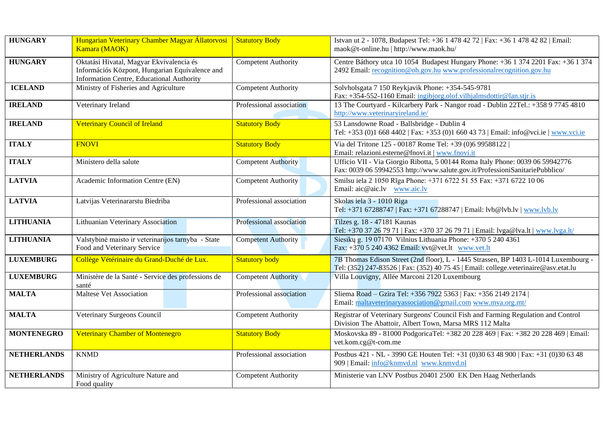| <b>HUNGARY</b>     | Hungarian Veterinary Chamber Magyar Állatorvosi   Statutory Body<br>Kamara (MAOK)                                                              |                            | Istvan ut 2 - 1078, Budapest Tel: +36 1 478 42 72   Fax: +36 1 478 42 82   Email:<br>maok@t-online.hu   http://www.maok.hu/                                                |
|--------------------|------------------------------------------------------------------------------------------------------------------------------------------------|----------------------------|----------------------------------------------------------------------------------------------------------------------------------------------------------------------------|
| <b>HUNGARY</b>     | Oktatási Hivatal, Magyar Ekvivalencia és<br>Információs Központ, Hungarian Equivalence and<br><b>Information Centre, Educational Authority</b> | <b>Competent Authority</b> | Centre Báthory utca 10 1054 Budapest Hungary Phone: +36 1 374 2201 Fax: +36 1 374<br>2492 Email: recognition@oh.gov.hu www.professionalrecognition.gov.hu                  |
| <b>ICELAND</b>     | Ministry of Fisheries and Agriculture                                                                                                          | <b>Competent Authority</b> | Solvholsgata 7 150 Reykjavik Phone: +354-545-9781<br>Fax: $+354-552-1160$ Email: ingibjorg.olof.vilhjalmsdottir@lan.stjr.is                                                |
| <b>IRELAND</b>     | Veterinary Ireland                                                                                                                             | Professional association   | 13 The Courtyard - Kilcarbery Park - Nangor road - Dublin 22Tel.: +358 9 7745 4810<br>http://www.veterinaryireland.ie/                                                     |
| <b>IRELAND</b>     | Veterinary Council of Ireland                                                                                                                  | <b>Statutory Body</b>      | 53 Lansdowne Road - Ballsbridge - Dublin 4<br>Tel: +353 (0)1 668 4402   Fax: +353 (0)1 660 43 73   Email: info@vci.ie   www.vci.ie                                         |
| <b>ITALY</b>       | <b>FNOVI</b>                                                                                                                                   | <b>Statutory Body</b>      | Via del Tritone 125 - 00187 Rome Tel: +39 (0)6 99588122  <br>Email: relazioni.esterne@fnovi.it   www.fnovi.it                                                              |
| <b>ITALY</b>       | Ministero della salute                                                                                                                         | <b>Competent Authority</b> | Ufficio VII - Via Giorgio Ribotta, 5 00144 Roma Italy Phone: 0039 06 59942776<br>Fax: 0039 06 59942553 http://www.salute.gov.it/ProfessioniSanitariePubblico/              |
| <b>LATVIA</b>      | Academic Information Centre (EN)                                                                                                               | <b>Competent Authority</b> | Smilsu iela 2 1050 Rīga Phone: +371 6722 51 55 Fax: +371 6722 10 06<br>Email: aic@aic.lv www.aic.lv                                                                        |
| <b>LATVIA</b>      | Latvijas Veterinararstu Biedriba                                                                                                               | Professional association   | Skolas iela 3 - 1010 Riga<br>Tel: +371 67288747   Fax: +371 67288747   Email: lvb@lvb.lv   www.lvb.lv                                                                      |
| <b>LITHUANIA</b>   | <b>Lithuanian Veterinary Association</b>                                                                                                       | Professional association   | Tilzes g. 18 - 47181 Kaunas<br>Tel: +370 37 26 79 71   Fax: +370 37 26 79 71   Email: lvga@lva.lt   www.lvga.lt/                                                           |
| <b>LITHUANIA</b>   | Valstybinė maisto ir veterinarijos tarnyba - State<br>Food and Veterinary Service                                                              | <b>Competent Authority</b> | Siesikų g. 19 07170 Vilnius Lithuania Phone: +370 5 240 4361<br>Fax: +370 5 240 4362 Email: vvt@vet.lt www.vet.lt                                                          |
| <b>LUXEMBURG</b>   | Collège Vétérinaire du Grand-Duché de Lux.                                                                                                     | <b>Statutory body</b>      | 7B Thomas Edison Street (2nd floor), L - 1445 Strassen, BP 1403 L-1014 Luxembourg -<br>Tel: (352) 247-83526   Fax: (352) 40 75 45   Email: college.veterinaire@asv.etat.lu |
| <b>LUXEMBURG</b>   | Ministère de la Santé - Service des professions de<br>santé                                                                                    | <b>Competent Authority</b> | Villa Louvigny, Allée Marconi 2120 Luxembourg                                                                                                                              |
| <b>MALTA</b>       | Maltese Vet Association                                                                                                                        | Professional association   | Sliema Road - Gzira Tel: +356 7922 5363   Fax: +356 2149 2174  <br>Email: maltaveterinaryassociation@gmail.com www.mva.org.mt/                                             |
| <b>MALTA</b>       | Veterinary Surgeons Council                                                                                                                    | <b>Competent Authority</b> | Registrar of Veterinary Surgeons' Council Fish and Farming Regulation and Control<br>Division The Abattoir, Albert Town, Marsa MRS 112 Malta                               |
| <b>MONTENEGRO</b>  | <b>Veterinary Chamber of Montenegro</b>                                                                                                        | <b>Statutory Body</b>      | Moskovska 89 - 81000 PodgoricaTel: +382 20 228 469   Fax: +382 20 228 469   Email:<br>vet.kom.cg@t-com.me                                                                  |
| <b>NETHERLANDS</b> | <b>KNMD</b>                                                                                                                                    | Professional association   | Postbus 421 - NL - 3990 GE Houten Tel: +31 (0)30 63 48 900   Fax: +31 (0)30 63 48<br>909   Email: info@knmvd.nl www.knmvd.nl                                               |
| <b>NETHERLANDS</b> | Ministry of Agriculture Nature and<br>Food quality                                                                                             | <b>Competent Authority</b> | Ministerie van LNV Postbus 20401 2500 EK Den Haag Netherlands                                                                                                              |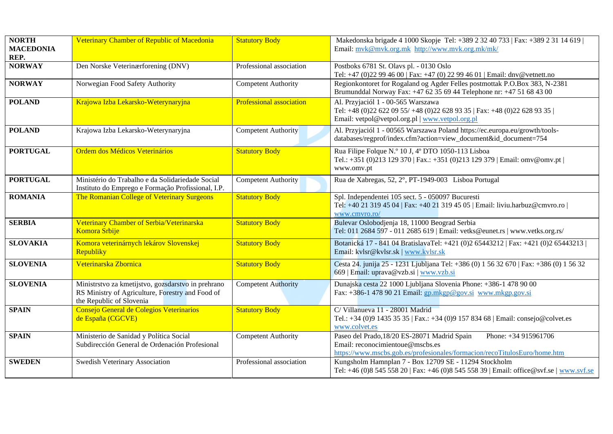| <b>NORTH</b><br><b>MACEDONIA</b><br>REP. | Veterinary Chamber of Republic of Macedonia                                                                                        | <b>Statutory Body</b>           | Makedonska brigade 4 1000 Skopje Tel: +389 2 32 40 733   Fax: +389 2 31 14 619  <br>Email: myk@myk.org.mk http://www.myk.org.mk/mk/                                                   |
|------------------------------------------|------------------------------------------------------------------------------------------------------------------------------------|---------------------------------|---------------------------------------------------------------------------------------------------------------------------------------------------------------------------------------|
| <b>NORWAY</b>                            | Den Norske Veterinærforening (DNV)                                                                                                 | Professional association        | Postboks 6781 St. Olavs pl. - 0130 Oslo<br>Tel: +47 (0)22 99 46 00   Fax: +47 (0) 22 99 46 01   Email: dnv@vetnett.no                                                                 |
| <b>NORWAY</b>                            | Norwegian Food Safety Authority                                                                                                    | <b>Competent Authority</b>      | Regionkontoret for Rogaland og Agder Felles postmottak P.O.Box 383, N-2381<br>Brumunddal Norway Fax: +47 62 35 69 44 Telephone nr: +47 51 68 43 00                                    |
| <b>POLAND</b>                            | Krajowa Izba Lekarsko-Weterynaryjna                                                                                                | <b>Professional association</b> | Al. Przyjaciól 1 - 00-565 Warszawa<br>Tel: +48 (0)22 622 09 55/ +48 (0)22 628 93 35   Fax: +48 (0)22 628 93 35  <br>Email: vetpol@vetpol.org.pl   www.vetpol.org.pl                   |
| <b>POLAND</b>                            | Krajowa Izba Lekarsko-Weterynaryjna                                                                                                | <b>Competent Authority</b>      | Al. Przyjaciól 1 - 00565 Warszawa Poland https://ec.europa.eu/growth/tools-<br>databases/regprof/index.cfm?action=view_document&id_document=754                                       |
| <b>PORTUGAL</b>                          | Ordem dos Médicos Veterinários                                                                                                     | <b>Statutory Body</b>           | Rua Filipe Folque N.º 10 J, 4º DTO 1050-113 Lisboa<br>Tel.: +351 (0)213 129 370   Fax.: +351 (0)213 129 379   Email: omv@omv.pt  <br>www.omv.pt                                       |
| <b>PORTUGAL</b>                          | Ministério do Trabalho e da Solidariedade Social<br>Instituto do Emprego e Formação Profissional, I.P.                             | <b>Competent Authority</b>      | Rua de Xabregas, 52, 2°, PT-1949-003 Lisboa Portugal                                                                                                                                  |
| <b>ROMANIA</b>                           | The Romanian College of Veterinary Surgeons                                                                                        | <b>Statutory Body</b>           | Spl. Independentei 105 sect. 5 - 050097 Bucuresti<br>Tel: +40 21 319 45 04   Fax: +40 21 319 45 05   Email: liviu.harbuz@cmvro.ro  <br>www.cmvro.ro/                                  |
| <b>SERBIA</b>                            | Veterinary Chamber of Serbia/Veterinarska<br>Komora Srbije                                                                         | <b>Statutory Body</b>           | Bulevar Oslobodjenja 18, 11000 Beograd Serbia<br>Tel: 011 2684 597 - 011 2685 619   Email: vetks@eunet.rs   www.vetks.org.rs/                                                         |
| <b>SLOVAKIA</b>                          | Komora veterinárnych lekárov Slovenskej<br>Republiky                                                                               | <b>Statutory Body</b>           | Botanická 17 - 841 04 BratislavaTel: +421 (0)2 65443212   Fax: +421 (0)2 65443213  <br>Email: kvlsr@kvlsr.sk   www.kvlsr.sk                                                           |
| <b>SLOVENIA</b>                          | Veterinarska Zbornica                                                                                                              | <b>Statutory Body</b>           | Cesta 24. junija 25 - 1231 Ljubljana Tel: +386 (0) 1 56 32 670   Fax: +386 (0) 1 56 32<br>669   Email: uprava@vzb.si   www.vzb.si                                                     |
| <b>SLOVENIA</b>                          | Ministrstvo za kmetijstvo, gozsdarstvo in prehrano<br>RS Ministry of Agriculture, Forestry and Food of<br>the Republic of Slovenia | <b>Competent Authority</b>      | Dunajska cesta 22 1000 Ljubljana Slovenia Phone: +386-1 478 90 00<br>Fax: +386-1 478 90 21 Email: gp.mkgp@gov.si www.mkgp.gov.si                                                      |
| <b>SPAIN</b>                             | Consejo General de Colegios Veterinarios<br>de España (CGCVE)                                                                      | <b>Statutory Body</b>           | C/Villanueva 11 - 28001 Madrid<br>Tel.: +34 (0)9 1435 35 35   Fax.: +34 (0)9 157 834 68   Email: consejo@colvet.es<br>www.colvet.es                                                   |
| <b>SPAIN</b>                             | Ministerio de Sanidad y Política Social<br>Subdirección General de Ordenación Profesional                                          | <b>Competent Authority</b>      | Paseo del Prado, 18/20 ES-28071 Madrid Spain<br>Phone: +34 915961706<br>Email: reconocimientoue@mscbs.es<br>https://www.mscbs.gob.es/profesionales/formacion/recoTitulosEuro/home.htm |
| <b>SWEDEN</b>                            | Swedish Veterinary Association                                                                                                     | Professional association        | Kungsholm Hamnplan 7 - Box 12709 SE - 11294 Stockholm<br>Tel: +46 (0)8 545 558 20   Fax: +46 (0)8 545 558 39   Email: office@svf.se   www.svf.se                                      |